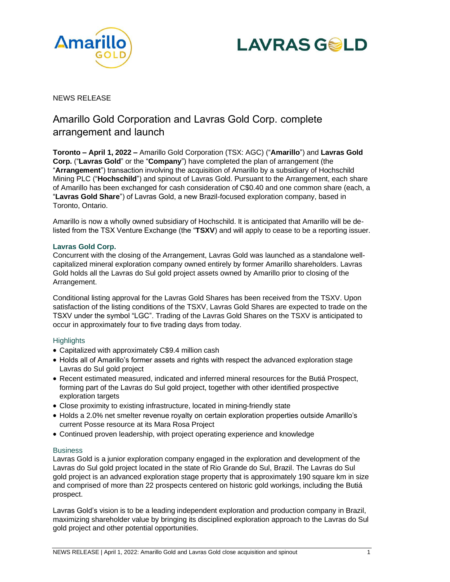



# NEWS RELEASE

# Amarillo Gold Corporation and Lavras Gold Corp. complete arrangement and launch

**Toronto – April 1, 2022 –** Amarillo Gold Corporation (TSX: AGC) ("**Amarillo**") and **Lavras Gold Corp.** ("**Lavras Gold**" or the "**Company**") have completed the plan of arrangement (the "**Arrangement**") transaction involving the acquisition of Amarillo by a subsidiary of Hochschild Mining PLC ("**Hochschild**") and spinout of Lavras Gold. Pursuant to the Arrangement, each share of Amarillo has been exchanged for cash consideration of C\$0.40 and one common share (each, a "**Lavras Gold Share**") of Lavras Gold, a new Brazil-focused exploration company, based in Toronto, Ontario.

Amarillo is now a wholly owned subsidiary of Hochschild. It is anticipated that Amarillo will be delisted from the TSX Venture Exchange (the "**TSXV**) and will apply to cease to be a reporting issuer.

## **Lavras Gold Corp.**

Concurrent with the closing of the Arrangement, Lavras Gold was launched as a standalone wellcapitalized mineral exploration company owned entirely by former Amarillo shareholders. Lavras Gold holds all the Lavras do Sul gold project assets owned by Amarillo prior to closing of the Arrangement.

Conditional listing approval for the Lavras Gold Shares has been received from the TSXV. Upon satisfaction of the listing conditions of the TSXV, Lavras Gold Shares are expected to trade on the TSXV under the symbol "LGC". Trading of the Lavras Gold Shares on the TSXV is anticipated to occur in approximately four to five trading days from today.

## **Highlights**

- Capitalized with approximately C\$9.4 million cash
- Holds all of Amarillo's former assets and rights with respect the advanced exploration stage Lavras do Sul gold project
- Recent estimated measured, indicated and inferred mineral resources for the Butiá Prospect, forming part of the Lavras do Sul gold project, together with other identified prospective exploration targets
- Close proximity to existing infrastructure, located in mining-friendly state
- Holds a 2.0% net smelter revenue royalty on certain exploration properties outside Amarillo's current Posse resource at its Mara Rosa Project
- Continued proven leadership, with project operating experience and knowledge

## **Business**

Lavras Gold is a junior exploration company engaged in the exploration and development of the Lavras do Sul gold project located in the state of Rio Grande do Sul, Brazil. The Lavras do Sul gold project is an advanced exploration stage property that is approximately 190 square km in size and comprised of more than 22 prospects centered on historic gold workings, including the Butiá prospect.

Lavras Gold's vision is to be a leading independent exploration and production company in Brazil, maximizing shareholder value by bringing its disciplined exploration approach to the Lavras do Sul gold project and other potential opportunities.